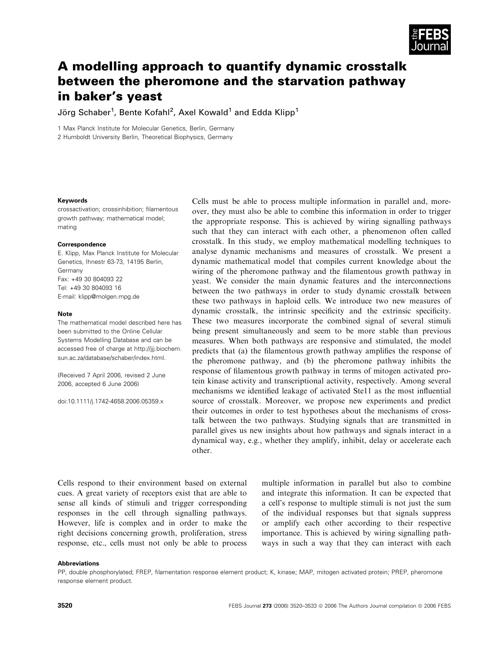

# A modelling approach to quantify dynamic crosstalk between the pheromone and the starvation pathway in baker's yeast

Jörg Schaber<sup>1</sup>, Bente Kofahl<sup>2</sup>, Axel Kowald<sup>1</sup> and Edda Klipp<sup>1</sup>

1 Max Planck Institute for Molecular Genetics, Berlin, Germany 2 Humboldt University Berlin, Theoretical Biophysics, Germany

#### Keywords

crossactivation; crossinhibition; filamentous growth pathway; mathematical model; mating

#### **Correspondence**

E. Klipp, Max Planck Institute for Molecular Genetics, Ihnestr 63-73, 14195 Berlin, Germany Fax: +49 30 804093 22 Tel: +49 30 804093 16 E-mail: klipp@molgen.mpg.de

#### **Note**

The mathematical model described here has been submitted to the Online Cellular Systems Modelling Database and can be accessed free of charge at http://jjj.biochem. sun.ac.za/database/schaber/index.html.

(Received 7 April 2006, revised 2 June 2006, accepted 6 June 2006)

doi:10.1111/j.1742-4658.2006.05359.x

Cells must be able to process multiple information in parallel and, moreover, they must also be able to combine this information in order to trigger the appropriate response. This is achieved by wiring signalling pathways such that they can interact with each other, a phenomenon often called crosstalk. In this study, we employ mathematical modelling techniques to analyse dynamic mechanisms and measures of crosstalk. We present a dynamic mathematical model that compiles current knowledge about the wiring of the pheromone pathway and the filamentous growth pathway in yeast. We consider the main dynamic features and the interconnections between the two pathways in order to study dynamic crosstalk between these two pathways in haploid cells. We introduce two new measures of dynamic crosstalk, the intrinsic specificity and the extrinsic specificity. These two measures incorporate the combined signal of several stimuli being present simultaneously and seem to be more stable than previous measures. When both pathways are responsive and stimulated, the model predicts that (a) the filamentous growth pathway amplifies the response of the pheromone pathway, and (b) the pheromone pathway inhibits the response of filamentous growth pathway in terms of mitogen activated protein kinase activity and transcriptional activity, respectively. Among several mechanisms we identified leakage of activated Ste11 as the most influential source of crosstalk. Moreover, we propose new experiments and predict their outcomes in order to test hypotheses about the mechanisms of crosstalk between the two pathways. Studying signals that are transmitted in parallel gives us new insights about how pathways and signals interact in a dynamical way, e.g., whether they amplify, inhibit, delay or accelerate each other.

Cells respond to their environment based on external cues. A great variety of receptors exist that are able to sense all kinds of stimuli and trigger corresponding responses in the cell through signalling pathways. However, life is complex and in order to make the right decisions concerning growth, proliferation, stress response, etc., cells must not only be able to process multiple information in parallel but also to combine and integrate this information. It can be expected that a cell's response to multiple stimuli is not just the sum of the individual responses but that signals suppress or amplify each other according to their respective importance. This is achieved by wiring signalling pathways in such a way that they can interact with each

## Abbreviations

PP, double phosphorylated; FREP, filamentation response element product; K, kinase; MAP, mitogen activated protein; PREP, pheromone response element product.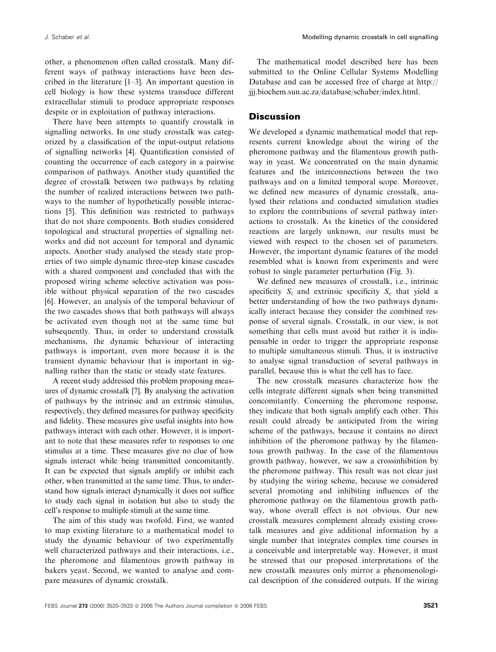other, a phenomenon often called crosstalk. Many different ways of pathway interactions have been described in the literature [1–3]. An important question in cell biology is how these systems transduce different extracellular stimuli to produce appropriate responses despite or in exploitation of pathway interactions.

There have been attempts to quantify crosstalk in signalling networks. In one study crosstalk was categorized by a classification of the input-output relations of signalling networks [4]. Quantification consisted of counting the occurrence of each category in a pairwise comparison of pathways. Another study quantified the degree of crosstalk between two pathways by relating the number of realized interactions between two pathways to the number of hypothetically possible interactions [5]. This definition was restricted to pathways that do not share components. Both studies considered topological and structural properties of signalling networks and did not account for temporal and dynamic aspects. Another study analysed the steady state properties of two simple dynamic three-step kinase cascades with a shared component and concluded that with the proposed wiring scheme selective activation was possible without physical separation of the two cascades [6]. However, an analysis of the temporal behaviour of the two cascades shows that both pathways will always be activated even though not at the same time but subsequently. Thus, in order to understand crosstalk mechanisms, the dynamic behaviour of interacting pathways is important, even more because it is the transient dynamic behaviour that is important in signalling rather than the static or steady state features.

A recent study addressed this problem proposing measures of dynamic crosstalk [7]. By analysing the activation of pathways by the intrinsic and an extrinsic stimulus, respectively, they defined measures for pathway specificity and fidelity. These measures give useful insights into how pathways interact with each other. However, it is important to note that these measures refer to responses to one stimulus at a time. These measures give no clue of how signals interact while being transmitted concomitantly. It can be expected that signals amplify or inhibit each other, when transmitted at the same time. Thus, to understand how signals interact dynamically it does not suffice to study each signal in isolation but also to study the cell's response to multiple stimuli at the same time.

The aim of this study was twofold. First, we wanted to map existing literature to a mathematical model to study the dynamic behaviour of two experimentally well characterized pathways and their interactions, i.e., the pheromone and filamentous growth pathway in bakers yeast. Second, we wanted to analyse and compare measures of dynamic crosstalk.

The mathematical model described here has been submitted to the Online Cellular Systems Modelling Database and can be accessed free of charge at http:// jjj.biochem.sun.ac.za/database/schaber/index.html.

# **Discussion**

We developed a dynamic mathematical model that represents current knowledge about the wiring of the pheromone pathway and the filamentous growth pathway in yeast. We concentrated on the main dynamic features and the interconnections between the two pathways and on a limited temporal scope. Moreover, we defined new measures of dynamic crosstalk, analysed their relations and conducted simulation studies to explore the contributions of several pathway interactions to crosstalk. As the kinetics of the considered reactions are largely unknown, our results must be viewed with respect to the chosen set of parameters. However, the important dynamic features of the model resembled what is known from experiments and were robust to single parameter perturbation (Fig. 3).

We defined new measures of crosstalk, i.e., intrinsic specificity  $S_i$  and extrinsic specificity  $S_e$  that yield a better understanding of how the two pathways dynamically interact because they consider the combined response of several signals. Crosstalk, in our view, is not something that cells must avoid but rather it is indispensable in order to trigger the appropriate response to multiple simultaneous stimuli. Thus, it is instructive to analyse signal transduction of several pathways in parallel, because this is what the cell has to face.

The new crosstalk measures characterize how the cells integrate different signals when being transmitted concomitantly. Concerning the pheromone response, they indicate that both signals amplify each other. This result could already be anticipated from the wiring scheme of the pathways, because it contains no direct inhibition of the pheromone pathway by the filamentous growth pathway. In the case of the filamentous growth pathway, however, we saw a crossinhibition by the pheromone pathway. This result was not clear just by studying the wiring scheme, because we considered several promoting and inhibiting influences of the pheromone pathway on the filamentous growth pathway, whose overall effect is not obvious. Our new crosstalk measures complement already existing crosstalk measures and give additional information by a single number that integrates complex time courses in a conceivable and interpretable way. However, it must be stressed that our proposed interpretations of the new crosstalk measures only mirror a phenomenological description of the considered outputs. If the wiring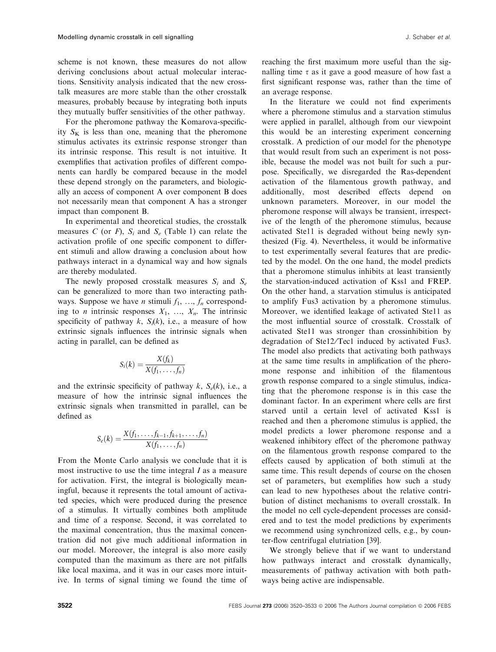scheme is not known, these measures do not allow deriving conclusions about actual molecular interactions. Sensitivity analysis indicated that the new crosstalk measures are more stable than the other crosstalk measures, probably because by integrating both inputs they mutually buffer sensitivities of the other pathway.

For the pheromone pathway the Komarova-specificity  $S_K$  is less than one, meaning that the pheromone stimulus activates its extrinsic response stronger than its intrinsic response. This result is not intuitive. It exemplifies that activation profiles of different components can hardly be compared because in the model these depend strongly on the parameters, and biologically an access of component A over component B does not necessarily mean that component A has a stronger impact than component B.

In experimental and theoretical studies, the crosstalk measures C (or F),  $S_i$  and  $S_e$  (Table 1) can relate the activation profile of one specific component to different stimuli and allow drawing a conclusion about how pathways interact in a dynamical way and how signals are thereby modulated.

The newly proposed crosstalk measures  $S_i$  and  $S_e$ can be generalized to more than two interacting pathways. Suppose we have *n* stimuli  $f_1, \ldots, f_n$  corresponding to *n* intrinsic responses  $X_1, \ldots, X_n$ . The intrinsic specificity of pathway k,  $S<sub>i</sub>(k)$ , i.e., a measure of how extrinsic signals influences the intrinsic signals when acting in parallel, can be defined as

$$
S_i(k) = \frac{X(f_k)}{X(f_1,\ldots,f_n)}
$$

and the extrinsic specificity of pathway  $k$ ,  $S_e(k)$ , i.e., a measure of how the intrinsic signal influences the extrinsic signals when transmitted in parallel, can be defined as

$$
S_e(k) = \frac{X(f_1, \ldots, f_{k-1}, f_{k+1}, \ldots, f_n)}{X(f_1, \ldots, f_n)}
$$

From the Monte Carlo analysis we conclude that it is most instructive to use the time integral I as a measure for activation. First, the integral is biologically meaningful, because it represents the total amount of activated species, which were produced during the presence of a stimulus. It virtually combines both amplitude and time of a response. Second, it was correlated to the maximal concentration, thus the maximal concentration did not give much additional information in our model. Moreover, the integral is also more easily computed than the maximum as there are not pitfalls like local maxima, and it was in our cases more intuitive. In terms of signal timing we found the time of

reaching the first maximum more useful than the signalling time  $\tau$  as it gave a good measure of how fast a first significant response was, rather than the time of an average response.

In the literature we could not find experiments where a pheromone stimulus and a starvation stimulus were applied in parallel, although from our viewpoint this would be an interesting experiment concerning crosstalk. A prediction of our model for the phenotype that would result from such an experiment is not possible, because the model was not built for such a purpose. Specifically, we disregarded the Ras-dependent activation of the filamentous growth pathway, and additionally, most described effects depend on unknown parameters. Moreover, in our model the pheromone response will always be transient, irrespective of the length of the pheromone stimulus, because activated Ste11 is degraded without being newly synthesized (Fig. 4). Nevertheless, it would be informative to test experimentally several features that are predicted by the model. On the one hand, the model predicts that a pheromone stimulus inhibits at least transiently the starvation-induced activation of Kss1 and FREP. On the other hand, a starvation stimulus is anticipated to amplify Fus3 activation by a pheromone stimulus. Moreover, we identified leakage of activated Ste11 as the most influential source of crosstalk. Crosstalk of activated Ste11 was stronger than crossinhibition by degradation of Ste12/Tec1 induced by activated Fus3. The model also predicts that activating both pathways at the same time results in amplification of the pheromone response and inhibition of the filamentous growth response compared to a single stimulus, indicating that the pheromone response is in this case the dominant factor. In an experiment where cells are first starved until a certain level of activated Kss1 is reached and then a pheromone stimulus is applied, the model predicts a lower pheromone response and a weakened inhibitory effect of the pheromone pathway on the filamentous growth response compared to the effects caused by application of both stimuli at the same time. This result depends of course on the chosen set of parameters, but exemplifies how such a study can lead to new hypotheses about the relative contribution of distinct mechanisms to overall crosstalk. In the model no cell cycle-dependent processes are considered and to test the model predictions by experiments we recommend using synchronized cells, e.g., by counter-flow centrifugal elutriation [39].

We strongly believe that if we want to understand how pathways interact and crosstalk dynamically, measurements of pathway activation with both pathways being active are indispensable.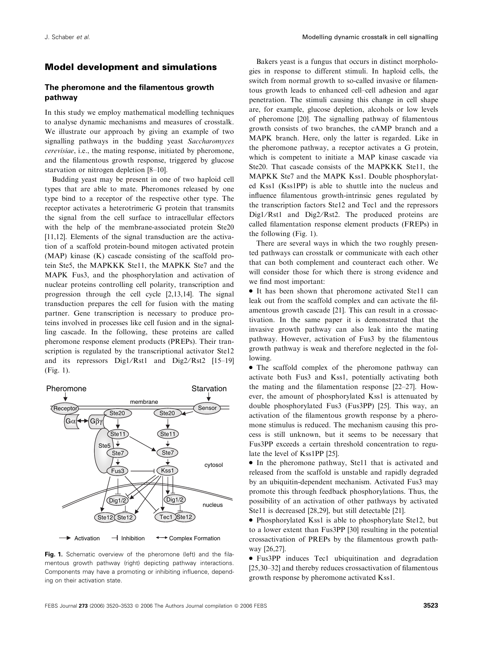# Model development and simulations

## The pheromone and the filamentous growth pathway

In this study we employ mathematical modelling techniques to analyse dynamic mechanisms and measures of crosstalk. We illustrate our approach by giving an example of two signalling pathways in the budding yeast Saccharomyces cerevisiae, i.e., the mating response, initiated by pheromone, and the filamentous growth response, triggered by glucose starvation or nitrogen depletion [8–10].

Budding yeast may be present in one of two haploid cell types that are able to mate. Pheromones released by one type bind to a receptor of the respective other type. The receptor activates a heterotrimeric G protein that transmits the signal from the cell surface to intracellular effectors with the help of the membrane-associated protein Ste20 [11,12]. Elements of the signal transduction are the activation of a scaffold protein-bound mitogen activated protein (MAP) kinase (K) cascade consisting of the scaffold protein Ste5, the MAPKKK Ste11, the MAPKK Ste7 and the MAPK Fus3, and the phosphorylation and activation of nuclear proteins controlling cell polarity, transcription and progression through the cell cycle [2,13,14]. The signal transduction prepares the cell for fusion with the mating partner. Gene transcription is necessary to produce proteins involved in processes like cell fusion and in the signalling cascade. In the following, these proteins are called pheromone response element products (PREPs). Their transcription is regulated by the transcriptional activator Ste12 and its repressors Dig1/Rst1 and Dig2/Rst2 [15-19] (Fig. 1).



Fig. 1. Schematic overview of the pheromone (left) and the filamentous growth pathway (right) depicting pathway interactions. Components may have a promoting or inhibiting influence, depending on their activation state.

Bakers yeast is a fungus that occurs in distinct morphologies in response to different stimuli. In haploid cells, the switch from normal growth to so-called invasive or filamentous growth leads to enhanced cell–cell adhesion and agar penetration. The stimuli causing this change in cell shape are, for example, glucose depletion, alcohols or low levels of pheromone [20]. The signalling pathway of filamentous growth consists of two branches, the cAMP branch and a MAPK branch. Here, only the latter is regarded. Like in the pheromone pathway, a receptor activates a G protein, which is competent to initiate a MAP kinase cascade via Ste20. That cascade consists of the MAPKKK Ste11, the MAPKK Ste7 and the MAPK Kss1. Double phosphorylated Kss1 (Kss1PP) is able to shuttle into the nucleus and influence filamentous growth-intrinsic genes regulated by the transcription factors Ste12 and Tec1 and the repressors Dig1/Rst1 and Dig2/Rst2. The produced proteins are called filamentation response element products (FREPs) in the following (Fig. 1).

There are several ways in which the two roughly presented pathways can crosstalk or communicate with each other that can both complement and counteract each other. We will consider those for which there is strong evidence and we find most important:

• It has been shown that pheromone activated Stell can leak out from the scaffold complex and can activate the filamentous growth cascade [21]. This can result in a crossactivation. In the same paper it is demonstrated that the invasive growth pathway can also leak into the mating pathway. However, activation of Fus3 by the filamentous growth pathway is weak and therefore neglected in the following.

• The scaffold complex of the pheromone pathway can activate both Fus3 and Kss1, potentially activating both the mating and the filamentation response [22–27]. However, the amount of phosphorylated Kss1 is attenuated by double phosphorylated Fus3 (Fus3PP) [25]. This way, an activation of the filamentous growth response by a pheromone stimulus is reduced. The mechanism causing this process is still unknown, but it seems to be necessary that Fus3PP exceeds a certain threshold concentration to regulate the level of Kss1PP [25].

• In the pheromone pathway, Stell that is activated and released from the scaffold is unstable and rapidly degraded by an ubiquitin-dependent mechanism. Activated Fus3 may promote this through feedback phosphorylations. Thus, the possibility of an activation of other pathways by activated Ste11 is decreased [28,29], but still detectable [21].

• Phosphorylated Kss1 is able to phosphorylate Ste12, but to a lower extent than Fus3PP [30] resulting in the potential crossactivation of PREPs by the filamentous growth pathway [26,27].

• Fus3PP induces Tec1 ubiquitination and degradation [25,30–32] and thereby reduces crossactivation of filamentous growth response by pheromone activated Kss1.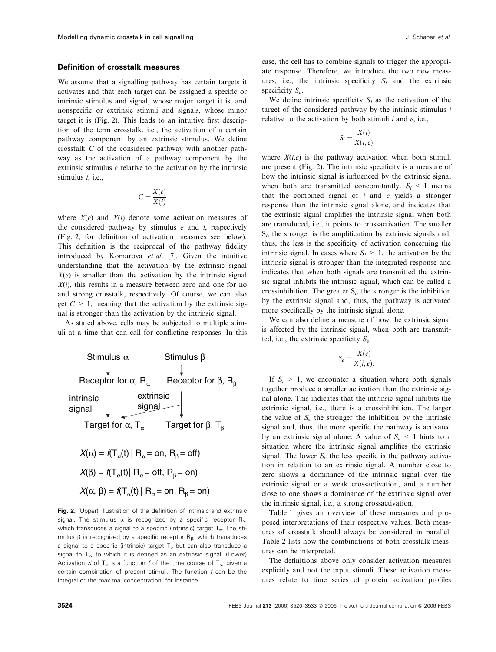## Definition of crosstalk measures

We assume that a signalling pathway has certain targets it activates and that each target can be assigned a specific or intrinsic stimulus and signal, whose major target it is, and nonspecific or extrinsic stimuli and signals, whose minor target it is (Fig. 2). This leads to an intuitive first description of the term crosstalk, i.e., the activation of a certain pathway component by an extrinsic stimulus. We define crosstalk C of the considered pathway with another pathway as the activation of a pathway component by the extrinsic stimulus e relative to the activation by the intrinsic stimulus *i*, i.e.,

$$
C = \frac{X(e)}{X(i)}
$$

where  $X(e)$  and  $X(i)$  denote some activation measures of the considered pathway by stimulus  $e$  and  $i$ , respectively (Fig. 2, for definition of activation measures see below). This definition is the reciprocal of the pathway fidelity introduced by Komarova et al. [7]. Given the intuitive understanding that the activation by the extrinsic signal  $X(e)$  is smaller than the activation by the intrinsic signal  $X(i)$ , this results in a measure between zero and one for no and strong crosstalk, respectively. Of course, we can also get  $C > 1$ , meaning that the activation by the extrinsic signal is stronger than the activation by the intrinsic signal.

As stated above, cells may be subjected to multiple stimuli at a time that can call for conflicting responses. In this



Fig. 2. (Upper) Illustration of the definition of intrinsic and extrinsic signal. The stimulus  $\alpha$  is recognized by a specific receptor R<sub>a</sub>, which transduces a signal to a specific (intrinsic) target  $T_{\alpha}$ . The stimulus  $\beta$  is recognized by a specific receptor  $R_{\beta}$ , which transduces a signal to a specific (intrinsic) target  $T_B$  but can also transduce a signal to  $T_{\alpha}$ , to which it is defined as an extrinsic signal. (Lower) Activation X of  $T_{\alpha}$  is a function f of the time course of  $T_{\alpha}$ , given a certain combination of present stimuli. The function f can be the integral or the maximal concentration, for instance.

case, the cell has to combine signals to trigger the appropriate response. Therefore, we introduce the two new measures, i.e., the intrinsic specificity  $S_i$  and the extrinsic specificity  $S_e$ .

We define intrinsic specificity  $S_i$  as the activation of the target of the considered pathway by the intrinsic stimulus  $i$ relative to the activation by both stimuli  $i$  and  $e$ , i.e.,

$$
S_i = \frac{X(i)}{X(i, e)}
$$

where  $X(i,e)$  is the pathway activation when both stimuli are present (Fig. 2). The intrinsic specificity is a measure of how the intrinsic signal is influenced by the extrinsic signal when both are transmitted concomitantly.  $S_i \leq 1$  means that the combined signal of  $i$  and  $e$  yields a stronger response than the intrinsic signal alone, and indicates that the extrinsic signal amplifies the intrinsic signal when both are transduced, i.e., it points to crossactivation. The smaller  $S_i$ , the stronger is the amplification by extrinsic signals and, thus, the less is the specificity of activation concerning the intrinsic signal. In cases where  $S_i > 1$ , the activation by the intrinsic signal is stronger than the integrated response and indicates that when both signals are transmitted the extrinsic signal inhibits the intrinsic signal, which can be called a crossinhibition. The greater  $S_i$ , the stronger is the inhibition by the extrinsic signal and, thus, the pathway is activated more specifically by the intrinsic signal alone.

We can also define a measure of how the extrinsic signal is affected by the intrinsic signal, when both are transmitted, i.e., the extrinsic specificity  $S_e$ :

$$
S_e = \frac{X(e)}{X(i, e)}.
$$

If  $S_e > 1$ , we encounter a situation where both signals together produce a smaller activation than the extrinsic signal alone. This indicates that the intrinsic signal inhibits the extrinsic signal, i.e., there is a crossinhibition. The larger the value of  $S_e$  the stronger the inhibition by the intrinsic signal and, thus, the more specific the pathway is activated by an extrinsic signal alone. A value of  $S_e \leq 1$  hints to a situation where the intrinsic signal amplifies the extrinsic signal. The lower  $S_e$  the less specific is the pathway activation in relation to an extrinsic signal. A number close to zero shows a dominance of the intrinsic signal over the extrinsic signal or a weak crossactivation, and a number close to one shows a dominance of the extrinsic signal over the intrinsic signal, i.e., a strong crossactivation.

Table 1 gives an overview of these measures and proposed interpretations of their respective values. Both measures of crosstalk should always be considered in parallel. Table 2 lists how the combinations of both crosstalk measures can be interpreted.

The definitions above only consider activation measures explicitly and not the input stimuli. These activation measures relate to time series of protein activation profiles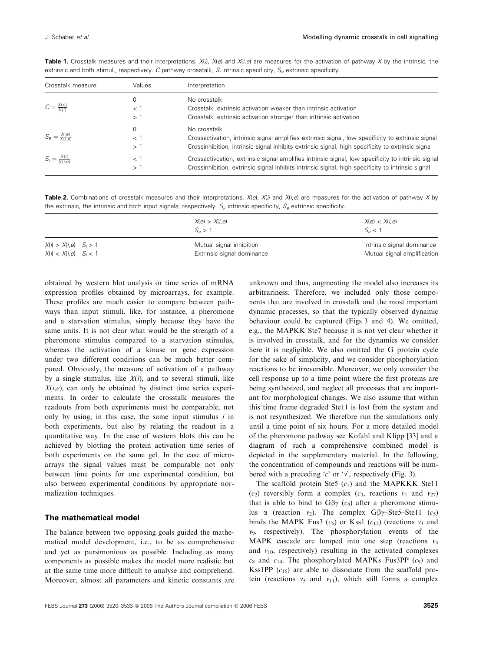| Crosstalk measure           | Values | Interpretation                                                                                     |
|-----------------------------|--------|----------------------------------------------------------------------------------------------------|
| $C = \frac{X(e)}{X(i)}$     | 0      | No crosstalk                                                                                       |
|                             | < 1    | Crosstalk, extrinsic activation weaker than intrinsic activation                                   |
|                             | >1     | Crosstalk, extrinsic activation stronger than intrinsic activation                                 |
|                             |        | No crosstalk                                                                                       |
| $S_e = \frac{X(e)}{X(i,e)}$ | < 1    | Crossactivation, intrinsic signal amplifies extrinsic signal, low specificity to extrinsic signal  |
|                             | >1     | Crossinhibition, intrinsic signal inhibits extrinsic signal, high specificity to extrinsic signal  |
| $S_i = \frac{X(i)}{X(i,e)}$ | $<$ 1  | Crossactivcation, extrinsic signal amplifies intrinsic signal, low specificity to intrinsic signal |
|                             | > 1    | Crossinhibition, extrinsic signal inhibits intrinsic signal, high specificity to intrinsic signal  |

Table 1. Crosstalk measures and their interpretations.  $X(t)$ ,  $X(e)$  and  $X(t,e)$  are measures for the activation of pathway X by the intrinsic, the extrinsic and both stimuli, respectively. C pathway crosstalk,  $S_i$  intrinsic specificity,  $S_e$  extrinsic specificity.

Table 2. Combinations of crosstalk measures and their interpretations.  $X(e)$ ,  $X(i)$  and  $X(i,e)$  are measures for the activation of pathway X by the extrinsic, the intrinsic and both input signals, respectively.  $S_{\rho}$  intrinsic specificity,  $S_{e}$  extrinsic specificity.

|                            | X(e) > X(i,e)<br>$S_{\alpha} > 1$ | X(e) < X(i,e)<br>$S_{\rm P}$ < 1 |  |  |
|----------------------------|-----------------------------------|----------------------------------|--|--|
| $X(i) > X(i, e)$ $S_i > 1$ | Mutual signal inhibition          | Intrinsic signal dominance       |  |  |
| $X(i) < X(i, e)$ $S_i < 1$ | Extrinsic signal dominance        | Mutual signal amplification      |  |  |

obtained by western blot analysis or time series of mRNA expression profiles obtained by microarrays, for example. These profiles are much easier to compare between pathways than input stimuli, like, for instance, a pheromone and a starvation stimulus, simply because they have the same units. It is not clear what would be the strength of a pheromone stimulus compared to a starvation stimulus, whereas the activation of a kinase or gene expression under two different conditions can be much better compared. Obviously, the measure of activation of a pathway by a single stimulus, like  $X(i)$ , and to several stimuli, like  $X(i,e)$ , can only be obtained by distinct time series experiments. In order to calculate the crosstalk measures the readouts from both experiments must be comparable, not only by using, in this case, the same input stimulus  $i$  in both experiments, but also by relating the readout in a quantitative way. In the case of western blots this can be achieved by blotting the protein activation time series of both experiments on the same gel. In the case of microarrays the signal values must be comparable not only between time points for one experimental condition, but also between experimental conditions by appropriate normalization techniques.

## The mathematical model

The balance between two opposing goals guided the mathematical model development, i.e., to be as comprehensive and yet as parsimonious as possible. Including as many components as possible makes the model more realistic but at the same time more difficult to analyse and comprehend. Moreover, almost all parameters and kinetic constants are

unknown and thus, augmenting the model also increases its arbitrariness. Therefore, we included only those components that are involved in crosstalk and the most important dynamic processes, so that the typically observed dynamic behaviour could be captured (Figs 3 and 4). We omitted, e.g., the MAPKK Ste7 because it is not yet clear whether it is involved in crosstalk, and for the dynamics we consider here it is negligible. We also omitted the G protein cycle for the sake of simplicity, and we consider phosphorylation reactions to be irreversible. Moreover, we only consider the cell response up to a time point where the first proteins are being synthesized, and neglect all processes that are important for morphological changes. We also assume that within this time frame degraded Ste11 is lost from the system and is not resynthesized. We therefore run the simulations only until a time point of six hours. For a more detailed model of the pheromone pathway see Kofahl and Klipp [33] and a diagram of such a comprehensive combined model is depicted in the supplementary material. In the following, the concentration of compounds and reactions will be numbered with a preceding 'c' or 'v', respectively (Fig. 3).

The scaffold protein Ste5  $(c_1)$  and the MAPKKK Ste11  $(c_2)$  reversibly form a complex  $(c_3,$  reactions  $v_1$  and  $v_{27}$ ) that is able to bind to  $G\beta\gamma$  (c<sub>4</sub>) after a pheromone stimulus  $\alpha$  (reaction v<sub>2</sub>). The complex G $\beta\gamma$ –Ste5–Ste11 (c<sub>5</sub>) binds the MAPK Fus3  $(c_6)$  or Kss1  $(c_{12})$  (reactions  $v_3$  and  $v_9$ , respectively). The phosphorylation events of the MAPK cascade are lumped into one step (reactions  $v_4$ ) and  $v_{10}$ , respectively) resulting in the activated complexes  $c_8$  and  $c_{14}$ . The phosphorylated MAPKs Fus3PP ( $c_9$ ) and Kss1PP  $(c_{15})$  are able to dissociate from the scaffold protein (reactions  $v_5$  and  $v_{11}$ ), which still forms a complex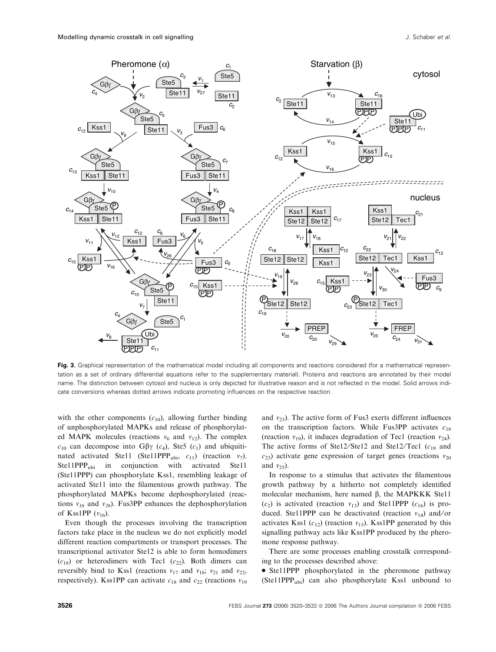

Fig. 3. Graphical representation of the mathematical model including all components and reactions considered (for a mathematical representation as a set of ordinary differential equations refer to the supplementary material). Proteins and reactions are annotated by their model name. The distinction between cytosol and nucleus is only depicted for illustrative reason and is not reflected in the model. Solid arrows indicate conversions whereas dotted arrows indicate promoting influences on the respective reaction.

with the other components  $(c_{10})$ , allowing further binding of unphosphorylated MAPKs and release of phosphorylated MAPK molecules (reactions  $v_6$  and  $v_{12}$ ). The complex  $c_{10}$  can decompose into G $\beta\gamma$  (c<sub>4</sub>), Ste5 (c<sub>1</sub>) and ubiquitinated activated Stell (StellPPP<sub>ubi</sub>,  $c_{11}$ ) (reaction  $v_7$ ). Stel1PPP<sub>ubi</sub> in conjunction with activated Stel1 (Ste11PPP) can phosphorylate Kss1, resembling leakage of activated Ste11 into the filamentous growth pathway. The phosphorylated MAPKs become dephosphorylated (reactions  $v_{16}$  and  $v_{26}$ ). Fus3PP enhances the dephosphorylation of Kss1PP  $(v_{16})$ .

Even though the processes involving the transcription factors take place in the nucleus we do not explicitly model different reaction compartments or transport processes. The transcriptional activator Ste12 is able to form homodimers  $(c_{18})$  or heterodimers with Tec1  $(c_{22})$ . Both dimers can reversibly bind to Kss1 (reactions  $v_{17}$  and  $v_{18}$ ;  $v_{21}$  and  $v_{22}$ , respectively). Kss1PP can activate  $c_{18}$  and  $c_{22}$  (reactions  $v_{19}$  and  $v_{23}$ ). The active form of Fus3 exerts different influences on the transcription factors. While Fus3PP activates  $c_{18}$ (reaction  $v_{19}$ ), it induces degradation of Tec1 (reaction  $v_{24}$ ). The active forms of Stel2/Stel2 and Stel2/Tecl  $(c_{19}$  and  $c_{23}$ ) activate gene expression of target genes (reactions  $v_{20}$ ) and  $v_{25}$ ).

In response to a stimulus that activates the filamentous growth pathway by a hitherto not completely identified molecular mechanism, here named  $\beta$ , the MAPKKK Ste11  $(c_2)$  is activated (reaction  $v_{13}$ ) and StellPPP  $(c_{16})$  is produced. Ste11PPP can be deactivated (reaction  $v_{14}$ ) and/or activates Kss1  $(c_{12})$  (reaction  $v_{15}$ ). Kss1PP generated by this signalling pathway acts like Kss1PP produced by the pheromone response pathway.

There are some processes enabling crosstalk corresponding to the processes described above:

• Ste11PPP phosphorylated in the pheromone pathway (Stel1PPP<sub>ubi</sub>) can also phosphorylate Kss1 unbound to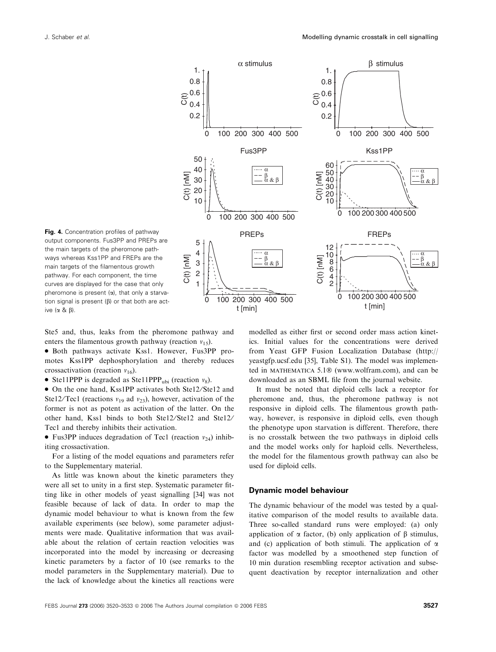

Fig. 4. Concentration profiles of pathway output components. Fus3PP and PREPs are the main targets of the pheromone pathways whereas Kss1PP and FREPs are the main targets of the filamentous growth pathway. For each component, the time curves are displayed for the case that only pheromone is present  $(\alpha)$ , that only a starvation signal is present  $(\beta)$  or that both are active ( $\alpha$  &  $\beta$ ).

Ste5 and, thus, leaks from the pheromone pathway and enters the filamentous growth pathway (reaction  $v_{15}$ ).

<sup>l</sup> Both pathways activate Kss1. However, Fus3PP promotes Kss1PP dephosphorylation and thereby reduces crossactivation (reaction  $v_{16}$ ).

• Stel1PPP is degraded as Stel1PPP<sub>ubi</sub> (reaction  $v_8$ ).

• On the one hand, Kss1PP activates both Ste12/Ste12 and Ste12/Tec1 (reactions  $v_{19}$  ad  $v_{23}$ ), however, activation of the former is not as potent as activation of the latter. On the other hand, Kss1 binds to both Ste12/Ste12 and Ste12/ Tec1 and thereby inhibits their activation.

• Fus3PP induces degradation of Tec1 (reaction  $v_{24}$ ) inhibiting crossactivation.

For a listing of the model equations and parameters refer to the Supplementary material.

As little was known about the kinetic parameters they were all set to unity in a first step. Systematic parameter fitting like in other models of yeast signalling [34] was not feasible because of lack of data. In order to map the dynamic model behaviour to what is known from the few available experiments (see below), some parameter adjustments were made. Qualitative information that was available about the relation of certain reaction velocities was incorporated into the model by increasing or decreasing kinetic parameters by a factor of 10 (see remarks to the model parameters in the Supplementary material). Due to the lack of knowledge about the kinetics all reactions were modelled as either first or second order mass action kinetics. Initial values for the concentrations were derived from Yeast GFP Fusion Localization Database (http:// yeastgfp.ucsf.edu [35], Table S1). The model was implemented in MATHEMATICA  $5.1\$  (www.wolfram.com), and can be downloaded as an SBML file from the journal website.

It must be noted that diploid cells lack a receptor for pheromone and, thus, the pheromone pathway is not responsive in diploid cells. The filamentous growth pathway, however, is responsive in diploid cells, even though the phenotype upon starvation is different. Therefore, there is no crosstalk between the two pathways in diploid cells and the model works only for haploid cells. Nevertheless, the model for the filamentous growth pathway can also be used for diploid cells.

## Dynamic model behaviour

The dynamic behaviour of the model was tested by a qualitative comparison of the model results to available data. Three so-called standard runs were employed: (a) only application of  $\alpha$  factor, (b) only application of  $\beta$  stimulus, and (c) application of both stimuli. The application of  $\alpha$ factor was modelled by a smoothened step function of 10 min duration resembling receptor activation and subsequent deactivation by receptor internalization and other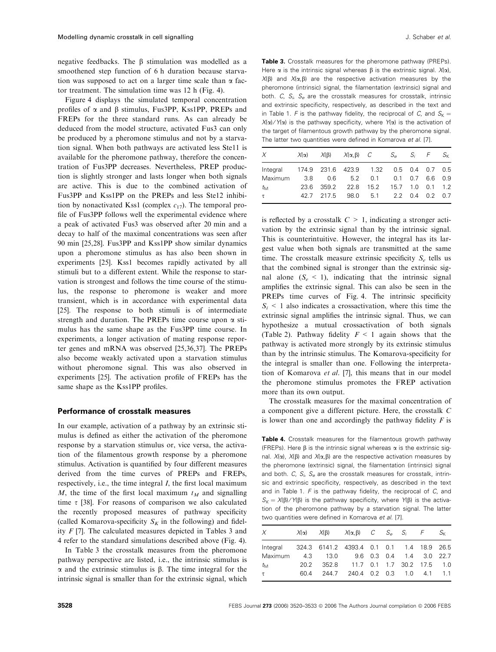negative feedbacks. The  $\beta$  stimulation was modelled as a smoothened step function of 6 h duration because starvation was supposed to act on a larger time scale than  $\alpha$  factor treatment. The simulation time was 12 h (Fig. 4).

Figure 4 displays the simulated temporal concentration profiles of  $\alpha$  and  $\beta$  stimulus, Fus3PP, Kss1PP, PREPs and FREPs for the three standard runs. As can already be deduced from the model structure, activated Fus3 can only be produced by a pheromone stimulus and not by a starvation signal. When both pathways are activated less Ste11 is available for the pheromone pathway, therefore the concentration of Fus3PP decreases. Nevertheless, PREP production is slightly stronger and lasts longer when both signals are active. This is due to the combined activation of Fus3PP and Kss1PP on the PREPs and less Ste12 inhibition by nonactivated Kss1 (complex  $c_{17}$ ). The temporal profile of Fus3PP follows well the experimental evidence where a peak of activated Fus3 was observed after 20 min and a decay to half of the maximal concentrations was seen after 90 min [25,28]. Fus3PP and Kss1PP show similar dynamics upon a pheromone stimulus as has also been shown in experiments [25]. Kss1 becomes rapidly activated by all stimuli but to a different extent. While the response to starvation is strongest and follows the time course of the stimulus, the response to pheromone is weaker and more transient, which is in accordance with experimental data [25]. The response to both stimuli is of intermediate strength and duration. The PREPs time course upon  $\alpha$  stimulus has the same shape as the Fus3PP time course. In experiments, a longer activation of mating response reporter genes and mRNA was observed [25,36,37]. The PREPs also become weakly activated upon a starvation stimulus without pheromone signal. This was also observed in experiments [25]. The activation profile of FREPs has the same shape as the Kss1PP profiles.

## Performance of crosstalk measures

In our example, activation of a pathway by an extrinsic stimulus is defined as either the activation of the pheromone response by a starvation stimulus or, vice versa, the activation of the filamentous growth response by a pheromone stimulus. Activation is quantified by four different measures derived from the time curves of PREPs and FREPs, respectively, i.e., the time integral I, the first local maximum M, the time of the first local maximum  $t_M$  and signalling time  $\tau$  [38]. For reasons of comparison we also calculated the recently proposed measures of pathway specificity (called Komarova-specificity  $S_K$  in the following) and fidelity F [7]. The calculated measures depicted in Tables 3 and 4 refer to the standard simulations described above (Fig. 4).

In Table 3 the crosstalk measures from the pheromone pathway perspective are listed, i.e., the intrinsic stimulus is  $\alpha$  and the extrinsic stimulus is  $\beta$ . The time integral for the intrinsic signal is smaller than for the extrinsic signal, which

Table 3. Crosstalk measures for the pheromone pathway (PREPs). Here  $\alpha$  is the intrinsic signal whereas B is the extrinsic signal.  $X(\alpha)$ ,  $X(\beta)$  and  $X(\alpha,\beta)$  are the respective activation measures by the pheromone (intrinsic) signal, the filamentation (extrinsic) signal and both. *C, S<sub>i</sub>, S<sub>e</sub>* are the crosstalk measures for crosstalk, intrinsic and extrinsic specificity, respectively, as described in the text and in Table 1. F is the pathway fidelity, the reciprocal of C, and  $S_k =$  $X(\alpha)$  /  $Y(\alpha)$  is the pathway specificity, where  $Y(\alpha)$  is the activation of the target of filamentous growth pathway by the pheromone signal. The latter two quantities were defined in Komarova et al. [7].

| X                               | $X(\alpha)$ | X(B)  | $X(α, β)$ C |      | $S_{\rho}$       | $S_i$ F           |         | $S_{\kappa}$ |
|---------------------------------|-------------|-------|-------------|------|------------------|-------------------|---------|--------------|
| Integral 174.9 231.6 423.9 1.32 |             |       |             |      |                  | $0.5$ 0.4 0.7 0.5 |         |              |
| Maximum                         | 3.8         | 0.6   | 5.2         | 0.1  | $0.1 \quad 0.7$  |                   | 6.6 0.9 |              |
| $t_{\mathsf{M}}$                | 23.6        | 359.2 | 22.8        | 15.2 | $15.7 \quad 1.0$ |                   | 0.1     | 1.2          |
| τ                               | 42.7        | 217.5 | 98.0        |      | $5.1$ $2.2$ 0.4  |                   | 0.2     | 0.7          |

is reflected by a crosstalk  $C > 1$ , indicating a stronger activation by the extrinsic signal than by the intrinsic signal. This is counterintuitive. However, the integral has its largest value when both signals are transmitted at the same time. The crosstalk measure extrinsic specificity  $S_e$  tells us that the combined signal is stronger than the extrinsic signal alone  $(S_e \leq 1)$ , indicating that the intrinsic signal amplifies the extrinsic signal. This can also be seen in the PREPs time curves of Fig. 4. The intrinsic specificity  $S_i$  < 1 also indicates a crossactivation, where this time the extrinsic signal amplifies the intrinsic signal. Thus, we can hypothesize a mutual crossactivation of both signals (Table 2). Pathway fidelity  $F \leq 1$  again shows that the pathway is activated more strongly by its extrinsic stimulus than by the intrinsic stimulus. The Komarova-specificity for the integral is smaller than one. Following the interpretation of Komarova et al. [7], this means that in our model the pheromone stimulus promotes the FREP activation more than its own output.

The crosstalk measures for the maximal concentration of a component give a different picture. Here, the crosstalk C is lower than one and accordingly the pathway fidelity  $F$  is

Table 4. Crosstalk measures for the filamentous growth pathway (FREPs). Here  $\beta$  is the intrinsic signal whereas  $\alpha$  is the extrinsic signal.  $X(\alpha)$ ,  $X(\beta)$  and  $X(\alpha,\beta)$  are the respective activation measures by the pheromone (extrinsic) signal, the filamentation (intrinsic) signal and both. C,  $S_{i}$ ,  $S_{e}$  are the crosstalk measures for crosstalk, intrinsic and extrinsic specificity, respectively, as described in the text and in Table 1.  $F$  is the pathway fidelity, the reciprocal of  $C$ , and  $S_k = X(\beta)/Y(\beta)$  is the pathway specificity, where  $Y(\beta)$  is the activation of the pheromone pathway by a starvation signal. The latter two quantities were defined in Komarova et al. [7].

| X                                                  | $X(\alpha)$ |       | $X(\beta)$ $X(\alpha, \beta)$ C $S_{\alpha}$ $S_{i}$ F $S_{\kappa}$ |  |                        |              |     |
|----------------------------------------------------|-------------|-------|---------------------------------------------------------------------|--|------------------------|--------------|-----|
| Integral 324.3 6141.2 4393.4 0.1 0.1 1.4 18.9 26.5 |             |       |                                                                     |  |                        |              |     |
| Maximum                                            | 4.3         | 13.0  | 9.6 0.3 0.4                                                         |  |                        | 1.4 3.0 22.7 |     |
| $t_{\mathsf{M}}$                                   | 20.2        | 352.8 |                                                                     |  | 11.7 0.1 1.7 30.2 17.5 |              | 1 O |
| τ                                                  | 60 4        | 244.7 | 240.4 0.2 0.3                                                       |  | 1 O                    | 4.1          | 11  |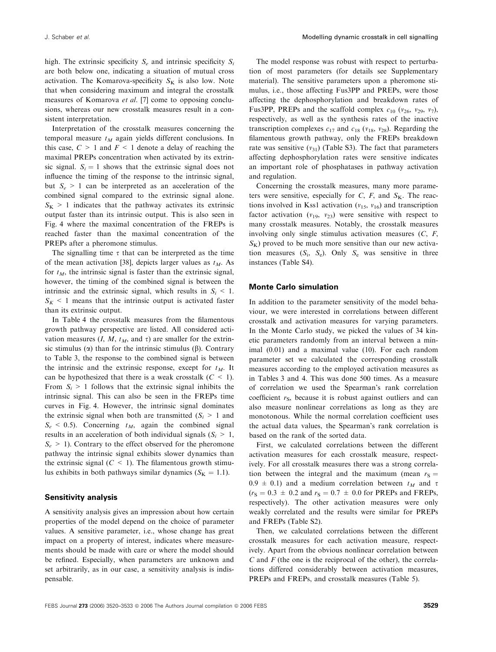J. Schaber et al. Modelling dynamic crosstalk in cell signalling

high. The extrinsic specificity  $S_e$  and intrinsic specificity  $S_i$ are both below one, indicating a situation of mutual cross activation. The Komarova-specificity  $S_K$  is also low. Note that when considering maximum and integral the crosstalk measures of Komarova et al. [7] come to opposing conclusions, whereas our new crosstalk measures result in a consistent interpretation.

Interpretation of the crosstalk measures concerning the temporal measure  $t_M$  again yields different conclusions. In this case,  $C > 1$  and  $F < 1$  denote a delay of reaching the maximal PREPs concentration when activated by its extrinsic signal.  $S_i = 1$  shows that the extrinsic signal does not influence the timing of the response to the intrinsic signal, but  $S_e > 1$  can be interpreted as an acceleration of the combined signal compared to the extrinsic signal alone.  $S_{\rm K} > 1$  indicates that the pathway activates its extrinsic output faster than its intrinsic output. This is also seen in Fig. 4 where the maximal concentration of the FREPs is reached faster than the maximal concentration of the PREPs after a pheromone stimulus.

The signalling time  $\tau$  that can be interpreted as the time of the mean activation [38], depicts larger values as  $t_M$ . As for  $t_M$ , the intrinsic signal is faster than the extrinsic signal, however, the timing of the combined signal is between the intrinsic and the extrinsic signal, which results in  $S_i \leq 1$ .  $S_K$  < 1 means that the intrinsic output is activated faster than its extrinsic output.

In Table 4 the crosstalk measures from the filamentous growth pathway perspective are listed. All considered activation measures  $(I, M, t_M, \text{ and } \tau)$  are smaller for the extrinsic stimulus ( $\alpha$ ) than for the intrinsic stimulus ( $\beta$ ). Contrary to Table 3, the response to the combined signal is between the intrinsic and the extrinsic response, except for  $t_M$ . It can be hypothesized that there is a weak crosstalk  $(C < 1)$ . From  $S_i > 1$  follows that the extrinsic signal inhibits the intrinsic signal. This can also be seen in the FREPs time curves in Fig. 4. However, the intrinsic signal dominates the extrinsic signal when both are transmitted  $(S_i > 1$  and  $S_e \leq 0.5$ ). Concerning  $t_M$ , again the combined signal results in an acceleration of both individual signals  $(S_i > 1$ ,  $S_e > 1$ ). Contrary to the effect observed for the pheromone pathway the intrinsic signal exhibits slower dynamics than the extrinsic signal  $(C \leq 1)$ . The filamentous growth stimulus exhibits in both pathways similar dynamics  $(S<sub>K</sub> = 1.1)$ .

## Sensitivity analysis

A sensitivity analysis gives an impression about how certain properties of the model depend on the choice of parameter values. A sensitive parameter, i.e., whose change has great impact on a property of interest, indicates where measurements should be made with care or where the model should be refined. Especially, when parameters are unknown and set arbitrarily, as in our case, a sensitivity analysis is indispensable.

The model response was robust with respect to perturbation of most parameters (for details see Supplementary material). The sensitive parameters upon a pheromone stimulus, i.e., those affecting Fus3PP and PREPs, were those affecting the dephosphorylation and breakdown rates of Fus3PP, PREPs and the scaffold complex  $c_{10}$  ( $v_{26}$ ,  $v_{29}$ ,  $v_{7}$ ), respectively, as well as the synthesis rates of the inactive transcription complexes  $c_{17}$  and  $c_{18}$  ( $v_{18}$ ,  $v_{28}$ ). Regarding the filamentous growth pathway, only the FREPs breakdown rate was sensitive  $(v_{31})$  (Table S3). The fact that parameters affecting dephosphorylation rates were sensitive indicates an important role of phosphatases in pathway activation and regulation.

Concerning the crosstalk measures, many more parameters were sensitive, especially for C, F, and  $S_{K}$ . The reactions involved in Kss1 activation ( $v_{15}$ ,  $v_{16}$ ) and transcription factor activation  $(v_{19}, v_{23})$  were sensitive with respect to many crosstalk measures. Notably, the crosstalk measures involving only single stimulus activation measures  $(C, F, F)$  $S_{\rm K}$ ) proved to be much more sensitive than our new activation measures  $(S_i, S_e)$ . Only  $S_e$  was sensitive in three instances (Table S4).

## Monte Carlo simulation

In addition to the parameter sensitivity of the model behaviour, we were interested in correlations between different crosstalk and activation measures for varying parameters. In the Monte Carlo study, we picked the values of 34 kinetic parameters randomly from an interval between a minimal (0.01) and a maximal value (10). For each random parameter set we calculated the corresponding crosstalk measures according to the employed activation measures as in Tables 3 and 4. This was done 500 times. As a measure of correlation we used the Spearman's rank correlation coefficient  $r<sub>S</sub>$ , because it is robust against outliers and can also measure nonlinear correlations as long as they are monotonous. While the normal correlation coefficient uses the actual data values, the Spearman's rank correlation is based on the rank of the sorted data.

First, we calculated correlations between the different activation measures for each crosstalk measure, respectively. For all crosstalk measures there was a strong correlation between the integral and the maximum (mean  $r<sub>S</sub>$  =  $0.9 \pm 0.1$ ) and a medium correlation between  $t_M$  and  $\tau$  $(r<sub>S</sub> = 0.3 \pm 0.2$  and  $r<sub>S</sub> = 0.7 \pm 0.0$  for PREPs and FREPs, respectively). The other activation measures were only weakly correlated and the results were similar for PREPs and FREPs (Table S2).

Then, we calculated correlations between the different crosstalk measures for each activation measure, respectively. Apart from the obvious nonlinear correlation between  $C$  and  $F$  (the one is the reciprocal of the other), the correlations differed considerably between activation measures, PREPs and FREPs, and crosstalk measures (Table 5).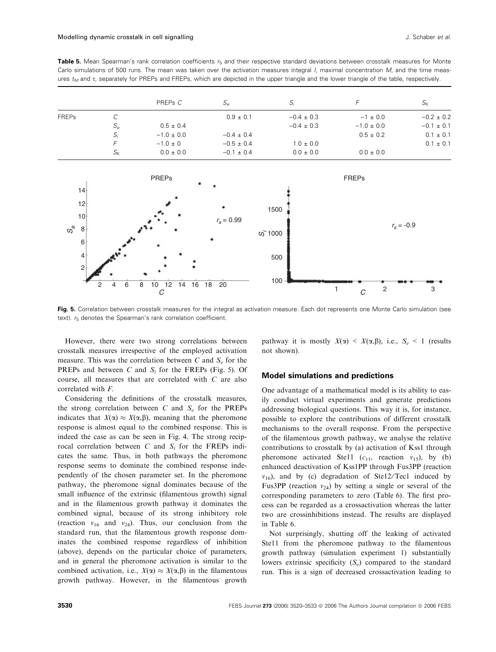Table 5. Mean Spearman's rank correlation coefficients r<sub>S</sub> and their respective standard deviations between crosstalk measures for Monte Carlo simulations of 500 runs. The mean was taken over the activation measures integral  $I$ , maximal concentration  $M$ , and the time measures  $t_M$  and  $\tau$ , separately for PREPs and FREPs, which are depicted in the upper triangle and the lower triangle of the table, respectively.

|              |         | PREPs C        | $S_e$          | $S_i$          |                | $S_{\rm K}$    |
|--------------|---------|----------------|----------------|----------------|----------------|----------------|
| <b>FREPs</b> | U       |                | $0.9 \pm 0.1$  | $-0.4 \pm 0.3$ | $-1 \pm 0.0$   | $-0.2 \pm 0.2$ |
|              | $S_e$   | $0.5 \pm 0.4$  |                | $-0.4 \pm 0.3$ | $-1.0 \pm 0.0$ | $-0.1 \pm 0.1$ |
|              | $S_i$   | $-1.0 \pm 0.0$ | $-0.4 \pm 0.4$ |                | $0.5 \pm 0.2$  | $0.1 \pm 0.1$  |
|              | F       | $-1.0 \pm 0$   | $-0.5 \pm 0.4$ | $1.0 \pm 0.0$  |                | $0.1 \pm 0.1$  |
|              | $S_{K}$ | $0.0 \pm 0.0$  | $-0.1 \pm 0.4$ | $0.0 \pm 0.0$  | $0.0 \pm 0.0$  |                |



Fig. 5. Correlation between crosstalk measures for the integral as activation measure. Each dot represents one Monte Carlo simulation (see text).  $r<sub>S</sub>$  denotes the Spearman's rank correlation coefficient.

However, there were two strong correlations between crosstalk measures irrespective of the employed activation measure. This was the correlation between C and  $S_e$  for the PREPs and between C and  $S_i$  for the FREPs (Fig. 5). Of course, all measures that are correlated with C are also correlated with F.

Considering the definitions of the crosstalk measures, the strong correlation between C and  $S_e$  for the PREPs indicates that  $X(\alpha) \approx X(\alpha, \beta)$ , meaning that the pheromone response is almost equal to the combined response. This is indeed the case as can be seen in Fig. 4. The strong reciprocal correlation between C and  $S_i$  for the FREPs indicates the same. Thus, in both pathways the pheromone response seems to dominate the combined response independently of the chosen parameter set. In the pheromone pathway, the pheromone signal dominates because of the small influence of the extrinsic (filamentous growth) signal and in the filamentous growth pathway it dominates the combined signal, because of its strong inhibitory role (reaction  $v_{16}$  and  $v_{24}$ ). Thus, our conclusion from the standard run, that the filamentous growth response dominates the combined response regardless of inhibition (above), depends on the particular choice of parameters, and in general the pheromone activation is similar to the combined activation, i.e.,  $X(\alpha) \approx X(\alpha, \beta)$  in the filamentous growth pathway. However, in the filamentous growth

pathway it is mostly  $X(\alpha) \leq X(\alpha, \beta)$ , i.e.,  $S_e \leq 1$  (results not shown).

#### Model simulations and predictions

One advantage of a mathematical model is its ability to easily conduct virtual experiments and generate predictions addressing biological questions. This way it is, for instance, possible to explore the contributions of different crosstalk mechanisms to the overall response. From the perspective of the filamentous growth pathway, we analyse the relative contributions to crosstalk by (a) activation of Kss1 through pheromone activated Stell  $(c_{11}$ , reaction  $v_{15}$ ), by (b) enhanced deactivation of Kss1PP through Fus3PP (reaction  $v_{16}$ ), and by (c) degradation of Ste12/Tec1 induced by Fus3PP (reaction  $v_{24}$ ) by setting a single or several of the corresponding parameters to zero (Table 6). The first process can be regarded as a crossactivation whereas the latter two are crossinhibitions instead. The results are displayed in Table 6.

Not surprisingly, shutting off the leaking of activated Ste11 from the pheromone pathway to the filamentous growth pathway (simulation experiment 1) substantially lowers extrinsic specificity  $(S_e)$  compared to the standard run. This is a sign of decreased crossactivation leading to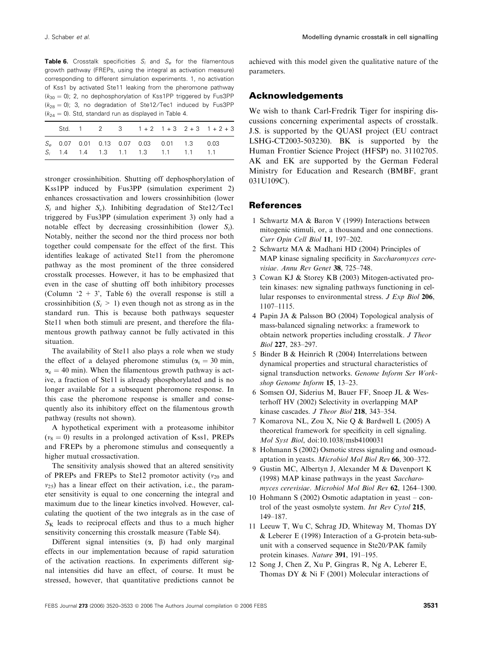**Table 6.** Crosstalk specificities  $S_i$  and  $S_e$  for the filamentous growth pathway (FREPs, using the integral as activation measure) corresponding to different simulation experiments. 1, no activation of Kss1 by activated Ste11 leaking from the pheromone pathway  $(k_{30} = 0)$ ; 2, no dephosphorylation of Kss1PP triggered by Fus3PP  $(k_{28} = 0)$ ; 3, no degradation of Ste12/Tec1 induced by Fus3PP  $(k_{24} = 0)$ . Std, standard run as displayed in Table 4.

|  |  |                                                                                       |  | Std. 1 2 3 1 + 2 1 + 3 2 + 3 1 + 2 + 3 |
|--|--|---------------------------------------------------------------------------------------|--|----------------------------------------|
|  |  | $S_e$ 0.07 0.01 0.13 0.07 0.03 0.01 1.3 0.03<br>$S_i$ 1.4 1.4 1.3 1.1 1.3 1.1 1.1 1.1 |  |                                        |

stronger crossinhibition. Shutting off dephosphorylation of Kss1PP induced by Fus3PP (simulation experiment 2) enhances crossactivation and lowers crossinhibition (lower  $S_i$  and higher  $S_e$ ). Inhibiting degradation of Ste12/Tec1 triggered by Fus3PP (simulation experiment 3) only had a notable effect by decreasing crossinhibition (lower  $S_i$ ). Notably, neither the second nor the third process nor both together could compensate for the effect of the first. This identifies leakage of activated Ste11 from the pheromone pathway as the most prominent of the three considered crosstalk processes. However, it has to be emphasized that even in the case of shutting off both inhibitory processes (Column '2 + 3', Table 6) the overall response is still a crossinhibition  $(S_i > 1)$  even though not as strong as in the standard run. This is because both pathways sequester Ste11 when both stimuli are present, and therefore the filamentous growth pathway cannot be fully activated in this situation.

The availability of Ste11 also plays a role when we study the effect of a delayed pheromone stimulus ( $\alpha_t = 30$  min,  $\alpha_e = 40$  min). When the filamentous growth pathway is active, a fraction of Ste11 is already phosphorylated and is no longer available for a subsequent pheromone response. In this case the pheromone response is smaller and consequently also its inhibitory effect on the filamentous growth pathway (results not shown).

A hypothetical experiment with a proteasome inhibitor  $(v_8 = 0)$  results in a prolonged activation of Kss1, PREPs and FREPs by a pheromone stimulus and consequently a higher mutual crossactivation.

The sensitivity analysis showed that an altered sensitivity of PREPs and FREPs to Stel2 promotor activity ( $v_{20}$  and  $v_{25}$ ) has a linear effect on their activation, i.e., the parameter sensitivity is equal to one concerning the integral and maximum due to the linear kinetics involved. However, calculating the quotient of the two integrals as in the case of  $S_K$  leads to reciprocal effects and thus to a much higher sensitivity concerning this crosstalk measure (Table S4).

Different signal intensities  $(\alpha, \beta)$  had only marginal effects in our implementation because of rapid saturation of the activation reactions. In experiments different signal intensities did have an effect, of course. It must be stressed, however, that quantitative predictions cannot be achieved with this model given the qualitative nature of the parameters.

# Acknowledgements

We wish to thank Carl-Fredrik Tiger for inspiring discussions concerning experimental aspects of crosstalk. J.S. is supported by the QUASI project (EU contract LSHG-CT2003-503230). BK is supported by the Human Frontier Science Project (HFSP) no. 31102705. AK and EK are supported by the German Federal Ministry for Education and Research (BMBF, grant 031U109C).

# References

- 1 Schwartz MA & Baron V (1999) Interactions between mitogenic stimuli, or, a thousand and one connections. Curr Opin Cell Biol 11, 197–202.
- 2 Schwartz MA & Madhani HD (2004) Principles of MAP kinase signaling specificity in Saccharomyces cerevisiae. Annu Rev Genet 38, 725–748.
- 3 Cowan KJ & Storey KB (2003) Mitogen-activated protein kinases: new signaling pathways functioning in cellular responses to environmental stress. J Exp Biol 206, 1107–1115.
- 4 Papin JA & Palsson BO (2004) Topological analysis of mass-balanced signaling networks: a framework to obtain network properties including crosstalk. J Theor Biol 227, 283–297.
- 5 Binder B & Heinrich R (2004) Interrelations between dynamical properties and structural characteristics of signal transduction networks. Genome Inform Ser Workshop Genome Inform 15, 13–23.
- 6 Somsen OJ, Siderius M, Bauer FF, Snoep JL & Westerhoff HV (2002) Selectivity in overlapping MAP kinase cascades. J Theor Biol 218, 343–354.
- 7 Komarova NL, Zou X, Nie Q & Bardwell L (2005) A theoretical framework for specificity in cell signaling. Mol Syst Biol, doi:10.1038/msb4100031
- 8 Hohmann S (2002) Osmotic stress signaling and osmoadaptation in yeasts. Microbiol Mol Biol Rev 66, 300–372.
- 9 Gustin MC, Albertyn J, Alexander M & Davenport K (1998) MAP kinase pathways in the yeast Saccharomyces cerevisiae. Microbiol Mol Biol Rev 62, 1264–1300.
- 10 Hohmann S (2002) Osmotic adaptation in yeast control of the yeast osmolyte system. Int Rev Cytol 215, 149–187.
- 11 Leeuw T, Wu C, Schrag JD, Whiteway M, Thomas DY & Leberer E (1998) Interaction of a G-protein beta-subunit with a conserved sequence in Ste20/PAK family protein kinases. Nature 391, 191–195.
- 12 Song J, Chen Z, Xu P, Gingras R, Ng A, Leberer E, Thomas DY & Ni F (2001) Molecular interactions of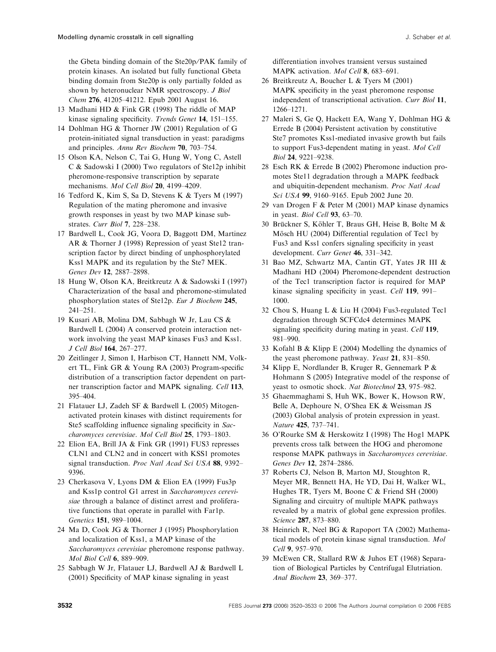the Gbeta binding domain of the Ste20p/PAK family of protein kinases. An isolated but fully functional Gbeta binding domain from Ste20p is only partially folded as shown by heteronuclear NMR spectroscopy. J Biol Chem 276, 41205–41212. Epub 2001 August 16.

- 13 Madhani HD & Fink GR (1998) The riddle of MAP kinase signaling specificity. Trends Genet 14, 151–155.
- 14 Dohlman HG & Thorner JW (2001) Regulation of G protein-initiated signal transduction in yeast: paradigms and principles. Annu Rev Biochem 70, 703–754.
- 15 Olson KA, Nelson C, Tai G, Hung W, Yong C, Astell C & Sadowski I (2000) Two regulators of Ste12p inhibit pheromone-responsive transcription by separate mechanisms. Mol Cell Biol 20, 4199–4209.
- 16 Tedford K, Kim S, Sa D, Stevens K & Tyers M (1997) Regulation of the mating pheromone and invasive growth responses in yeast by two MAP kinase substrates. Curr Biol 7, 228–238.
- 17 Bardwell L, Cook JG, Voora D, Baggott DM, Martinez AR & Thorner J (1998) Repression of yeast Ste12 transcription factor by direct binding of unphosphorylated Kss1 MAPK and its regulation by the Ste7 MEK. Genes Dev 12, 2887–2898.
- 18 Hung W, Olson KA, Breitkreutz A & Sadowski I (1997) Characterization of the basal and pheromone-stimulated phosphorylation states of Ste12p. Eur J Biochem 245, 241–251.
- 19 Kusari AB, Molina DM, Sabbagh W Jr, Lau CS & Bardwell L (2004) A conserved protein interaction network involving the yeast MAP kinases Fus3 and Kss1. J Cell Biol 164, 267–277.
- 20 Zeitlinger J, Simon I, Harbison CT, Hannett NM, Volkert TL, Fink GR & Young RA (2003) Program-specific distribution of a transcription factor dependent on partner transcription factor and MAPK signaling. Cell 113, 395–404.
- 21 Flatauer LJ, Zadeh SF & Bardwell L (2005) Mitogenactivated protein kinases with distinct requirements for Ste5 scaffolding influence signaling specificity in Saccharomyces cerevisiae. Mol Cell Biol 25, 1793–1803.
- 22 Elion EA, Brill JA & Fink GR (1991) FUS3 represses CLN1 and CLN2 and in concert with KSS1 promotes signal transduction. Proc Natl Acad Sci USA 88, 9392– 9396.
- 23 Cherkasova V, Lyons DM & Elion EA (1999) Fus3p and Kss1p control G1 arrest in Saccharomyces cerevisiae through a balance of distinct arrest and proliferative functions that operate in parallel with Far1p. Genetics 151, 989–1004.
- 24 Ma D, Cook JG & Thorner J (1995) Phosphorylation and localization of Kss1, a MAP kinase of the Saccharomyces cerevisiae pheromone response pathway. Mol Biol Cell 6, 889–909.
- 25 Sabbagh W Jr, Flatauer LJ, Bardwell AJ & Bardwell L (2001) Specificity of MAP kinase signaling in yeast

differentiation involves transient versus sustained MAPK activation. Mol Cell 8, 683-691.

- 26 Breitkreutz A, Boucher L & Tyers M (2001) MAPK specificity in the yeast pheromone response independent of transcriptional activation. Curr Biol 11, 1266–1271.
- 27 Maleri S, Ge Q, Hackett EA, Wang Y, Dohlman HG & Errede B (2004) Persistent activation by constitutive Ste7 promotes Kss1-mediated invasive growth but fails to support Fus3-dependent mating in yeast. Mol Cell Biol 24, 9221–9238.
- 28 Esch RK & Errede B (2002) Pheromone induction promotes Ste11 degradation through a MAPK feedback and ubiquitin-dependent mechanism. Proc Natl Acad Sci USA 99, 9160-9165. Epub 2002 June 20.
- 29 van Drogen F & Peter M (2001) MAP kinase dynamics in yeast. Biol Cell 93, 63–70.
- 30 Brückner S, Köhler T, Braus GH, Heise B, Bolte M & Mösch HU (2004) Differential regulation of Tec1 by Fus3 and Kss1 confers signaling specificity in yeast development. Curr Genet 46, 331-342.
- 31 Bao MZ, Schwartz MA, Cantin GT, Yates JR III & Madhani HD (2004) Pheromone-dependent destruction of the Tec1 transcription factor is required for MAP kinase signaling specificity in yeast. Cell 119, 991-1000.
- 32 Chou S, Huang L & Liu H (2004) Fus3-regulated Tec1 degradation through SCFCdc4 determines MAPK signaling specificity during mating in yeast. Cell 119, 981–990.
- 33 Kofahl B & Klipp E (2004) Modelling the dynamics of the yeast pheromone pathway. Yeast 21, 831–850.
- 34 Klipp E, Nordlander B, Kruger R, Gennemark P & Hohmann S (2005) Integrative model of the response of yeast to osmotic shock. Nat Biotechnol 23, 975–982.
- 35 Ghaemmaghami S, Huh WK, Bower K, Howson RW, Belle A, Dephoure N, O'Shea EK & Weissman JS (2003) Global analysis of protein expression in yeast. Nature 425, 737–741.
- 36 O'Rourke SM & Herskowitz I (1998) The Hog1 MAPK prevents cross talk between the HOG and pheromone response MAPK pathways in Saccharomyces cerevisiae. Genes Dev 12, 2874–2886.
- 37 Roberts CJ, Nelson B, Marton MJ, Stoughton R, Meyer MR, Bennett HA, He YD, Dai H, Walker WL, Hughes TR, Tyers M, Boone C & Friend SH (2000) Signaling and circuitry of multiple MAPK pathways revealed by a matrix of global gene expression profiles. Science 287, 873–880.
- 38 Heinrich R, Neel BG & Rapoport TA (2002) Mathematical models of protein kinase signal transduction. Mol Cell 9, 957–970.
- 39 McEwen CR, Stallard RW & Juhos ET (1968) Separation of Biological Particles by Centrifugal Elutriation. Anal Biochem 23, 369–377.